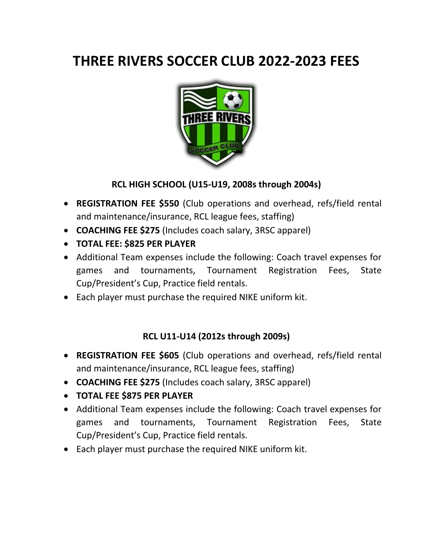# **THREE RIVERS SOCCER CLUB 2022-2023 FEES**



# **RCL HIGH SCHOOL (U15-U19, 2008s through 2004s)**

- **REGISTRATION FEE \$550** (Club operations and overhead, refs/field rental and maintenance/insurance, RCL league fees, staffing)
- **COACHING FEE \$275** (Includes coach salary, 3RSC apparel)
- **TOTAL FEE: \$825 PER PLAYER**
- Additional Team expenses include the following: Coach travel expenses for games and tournaments, Tournament Registration Fees, State Cup/President's Cup, Practice field rentals.
- Each player must purchase the required NIKE uniform kit.

# **RCL U11-U14 (2012s through 2009s)**

- **REGISTRATION FEE \$605** (Club operations and overhead, refs/field rental and maintenance/insurance, RCL league fees, staffing)
- **COACHING FEE \$275** (Includes coach salary, 3RSC apparel)
- **TOTAL FEE \$875 PER PLAYER**
- Additional Team expenses include the following: Coach travel expenses for games and tournaments, Tournament Registration Fees, State Cup/President's Cup, Practice field rentals.
- Each player must purchase the required NIKE uniform kit.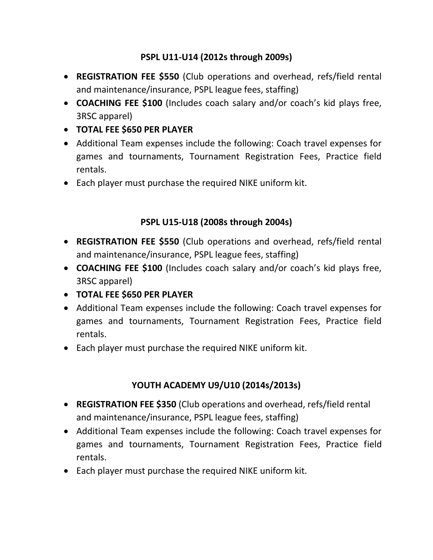# **PSPL U11-U14 (2012s through 2009s)**

- **REGISTRATION FEE \$550** (Club operations and overhead, refs/field rental and maintenance/insurance, PSPL league fees, staffing)
- **COACHING FEE \$100** (Includes coach salary and/or coach's kid plays free, 3RSC apparel)
- **TOTAL FEE \$650 PER PLAYER**
- Additional Team expenses include the following: Coach travel expenses for games and tournaments, Tournament Registration Fees, Practice field rentals.
- Each player must purchase the required NIKE uniform kit.

# **PSPL U15-U18 (2008s through 2004s)**

- **REGISTRATION FEE \$550** (Club operations and overhead, refs/field rental and maintenance/insurance, PSPL league fees, staffing)
- **COACHING FEE \$100** (Includes coach salary and/or coach's kid plays free, 3RSC apparel)
- **TOTAL FEE \$650 PER PLAYER**
- Additional Team expenses include the following: Coach travel expenses for games and tournaments, Tournament Registration Fees, Practice field rentals.
- Each player must purchase the required NIKE uniform kit.

# **YOUTH ACADEMY U9/U10 (2014s/2013s)**

- **REGISTRATION FEE \$350** (Club operations and overhead, refs/field rental and maintenance/insurance, PSPL league fees, staffing)
- Additional Team expenses include the following: Coach travel expenses for games and tournaments, Tournament Registration Fees, Practice field rentals.
- Each player must purchase the required NIKE uniform kit.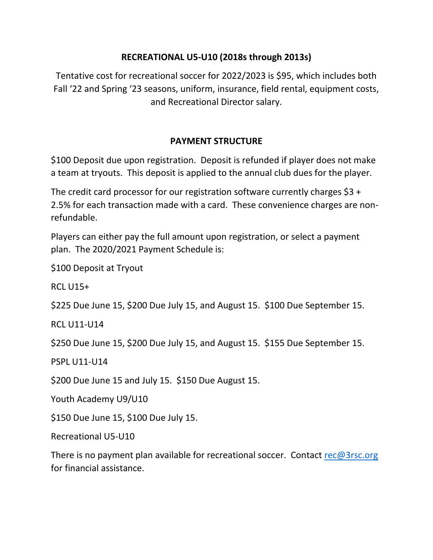#### **RECREATIONAL U5-U10 (2018s through 2013s)**

Tentative cost for recreational soccer for 2022/2023 is \$95, which includes both Fall '22 and Spring '23 seasons, uniform, insurance, field rental, equipment costs, and Recreational Director salary.

# **PAYMENT STRUCTURE**

\$100 Deposit due upon registration. Deposit is refunded if player does not make a team at tryouts. This deposit is applied to the annual club dues for the player.

The credit card processor for our registration software currently charges  $$3 +$ 2.5% for each transaction made with a card. These convenience charges are nonrefundable.

Players can either pay the full amount upon registration, or select a payment plan. The 2020/2021 Payment Schedule is:

\$100 Deposit at Tryout

RCL U15+

\$225 Due June 15, \$200 Due July 15, and August 15. \$100 Due September 15.

RCL U11-U14

\$250 Due June 15, \$200 Due July 15, and August 15. \$155 Due September 15.

PSPL U11-U14

\$200 Due June 15 and July 15. \$150 Due August 15.

Youth Academy U9/U10

\$150 Due June 15, \$100 Due July 15.

Recreational U5-U10

There is no payment plan available for recreational soccer. Contact [rec@3rsc.org](mailto:rec@3rsc.org) for financial assistance.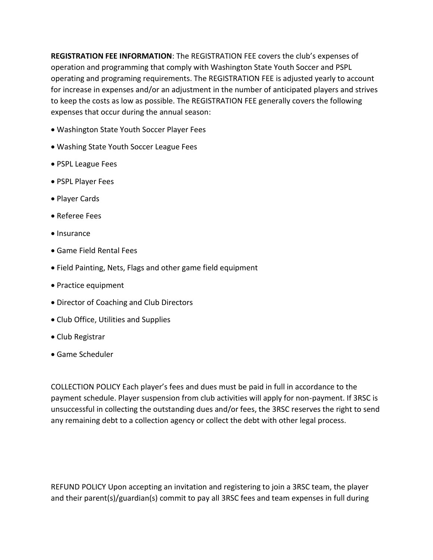**REGISTRATION FEE INFORMATION**: The REGISTRATION FEE covers the club's expenses of operation and programming that comply with Washington State Youth Soccer and PSPL operating and programing requirements. The REGISTRATION FEE is adjusted yearly to account for increase in expenses and/or an adjustment in the number of anticipated players and strives to keep the costs as low as possible. The REGISTRATION FEE generally covers the following expenses that occur during the annual season:

- Washington State Youth Soccer Player Fees
- Washing State Youth Soccer League Fees
- PSPL League Fees
- PSPL Player Fees
- Player Cards
- Referee Fees
- Insurance
- Game Field Rental Fees
- Field Painting, Nets, Flags and other game field equipment
- Practice equipment
- Director of Coaching and Club Directors
- Club Office, Utilities and Supplies
- Club Registrar
- Game Scheduler

COLLECTION POLICY Each player's fees and dues must be paid in full in accordance to the payment schedule. Player suspension from club activities will apply for non-payment. If 3RSC is unsuccessful in collecting the outstanding dues and/or fees, the 3RSC reserves the right to send any remaining debt to a collection agency or collect the debt with other legal process.

REFUND POLICY Upon accepting an invitation and registering to join a 3RSC team, the player and their parent(s)/guardian(s) commit to pay all 3RSC fees and team expenses in full during